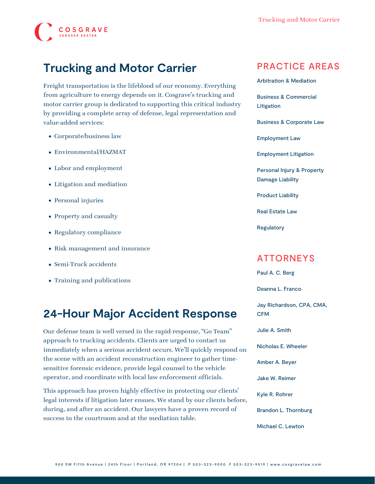# **COSGRAVE**

## **Trucking and Motor Carrier**

Freight transportation is the lifeblood of our economy. Everything from agriculture to energy depends on it. Cosgrave's trucking and motor carrier group is dedicated to supporting this critical industry by providing a complete array of defense, legal representation and value-added services:

- Corporate/business law
- Environmental/HAZMAT
- Labor and employment
- Litigation and mediation
- Personal injuries
- Property and casualty
- Regulatory compliance
- Risk management and insurance
- Semi-Truck accidents
- Training and publications

### **24-Hour Major Accident Response**

Our defense team is well versed in the rapid-response, "[Go Team"](https://www.cosgravelaw.com/wp-content/uploads/2015/03/Go-Team.pdf) approach to trucking accidents. Clients are urged to contact us immediately when a serious accident occurs. We'll quickly respond on the scene with an accident reconstruction engineer to gather timesensitive forensic evidence, provide legal counsel to the vehicle operator, and coordinate with local law enforcement officials.

This approach has proven highly effective in protecting our clients' legal interests if litigation later ensues. We stand by our clients before, during, and after an accident. Our lawyers have a proven record of success in the courtroom and at the mediation table.

#### PRACTICE AREAS

[Arbitration & Mediation](https://www.cosgravelaw.com/arbitration-mediation/)

[Business & Commercial](https://www.cosgravelaw.com/business-commercial-litigation/) [Litigation](https://www.cosgravelaw.com/business-commercial-litigation/)

[Business & Corporate Law](https://www.cosgravelaw.com/business-representation-transactions/)

[Employment Law](https://www.cosgravelaw.com/employee-relations-hr-advice-counsel/)

[Employment Litigation](https://www.cosgravelaw.com/employment-litigation/)

[Personal Injury & Property](https://www.cosgravelaw.com/personal-injury-property-damage-liability/) [Damage Liability](https://www.cosgravelaw.com/personal-injury-property-damage-liability/)

[Product Liability](https://www.cosgravelaw.com/product-liability-attorneys/)

[Real Estate Law](https://www.cosgravelaw.com/real-estate-law/)

[Regulatory](https://www.cosgravelaw.com/regulatory/)

#### ATTORNEYS

[Paul A. C. Berg](https://www.cosgravelaw.com/paul-berg-insurance-coverage/)

[Deanna L. Franco](https://www.cosgravelaw.com/deanna-l-franco-trust-estate-planning/)

[Jay Richardson, CPA, CMA,](https://www.cosgravelaw.com/tax-attorney-cpa-cma-cfm/) [CFM](https://www.cosgravelaw.com/tax-attorney-cpa-cma-cfm/)

[Julie A. Smith](https://www.cosgravelaw.com/julie-smith-appellate-litigation-services/)

[Nicholas E. Wheeler](https://www.cosgravelaw.com/nicholas-wheeler-product-liability-attorney/)

[Amber A. Beyer](https://www.cosgravelaw.com/amber-a-beyer-business-litigation-attorney/)

[Jake W. Reimer](https://www.cosgravelaw.com/jake-w-reimer/)

[Kyle R. Rohrer](https://www.cosgravelaw.com/kyle-rohrer/)

[Brandon L. Thornburg](https://www.cosgravelaw.com/brandon-thornburg-transportation-litigation/)

[Michael C. Lewton](https://www.cosgravelaw.com/michael-lewton-personal-injury-litigation/)